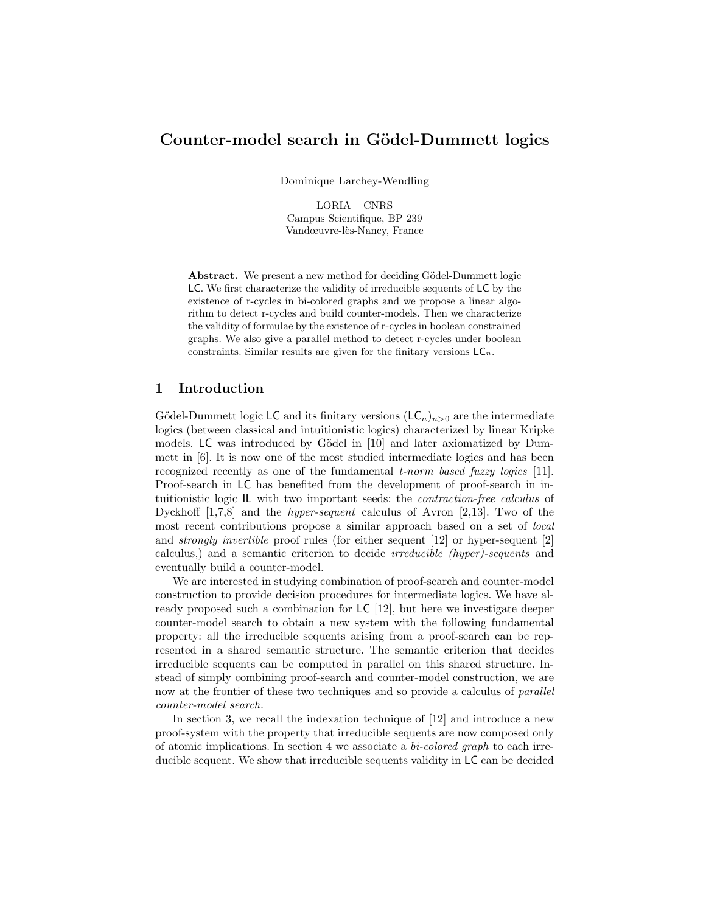# Counter-model search in Gödel-Dummett logics

Dominique Larchey-Wendling

LORIA – CNRS Campus Scientifique, BP 239 Vandœuvre-lès-Nancy, France

Abstract. We present a new method for deciding Gödel-Dummett logic LC. We first characterize the validity of irreducible sequents of LC by the existence of r-cycles in bi-colored graphs and we propose a linear algorithm to detect r-cycles and build counter-models. Then we characterize the validity of formulae by the existence of r-cycles in boolean constrained graphs. We also give a parallel method to detect r-cycles under boolean constraints. Similar results are given for the finitary versions  $LC_n$ .

### 1 Introduction

Gödel-Dummett logic LC and its finitary versions  $(LC_n)_{n>0}$  are the intermediate logics (between classical and intuitionistic logics) characterized by linear Kripke models. LC was introduced by Gödel in [10] and later axiomatized by Dummett in [6]. It is now one of the most studied intermediate logics and has been recognized recently as one of the fundamental t-norm based fuzzy logics [11]. Proof-search in LC has benefited from the development of proof-search in intuitionistic logic IL with two important seeds: the contraction-free calculus of Dyckhoff [1,7,8] and the hyper-sequent calculus of Avron [2,13]. Two of the most recent contributions propose a similar approach based on a set of local and strongly invertible proof rules (for either sequent [12] or hyper-sequent [2] calculus,) and a semantic criterion to decide irreducible (hyper)-sequents and eventually build a counter-model.

We are interested in studying combination of proof-search and counter-model construction to provide decision procedures for intermediate logics. We have already proposed such a combination for LC [12], but here we investigate deeper counter-model search to obtain a new system with the following fundamental property: all the irreducible sequents arising from a proof-search can be represented in a shared semantic structure. The semantic criterion that decides irreducible sequents can be computed in parallel on this shared structure. Instead of simply combining proof-search and counter-model construction, we are now at the frontier of these two techniques and so provide a calculus of parallel counter-model search.

In section 3, we recall the indexation technique of [12] and introduce a new proof-system with the property that irreducible sequents are now composed only of atomic implications. In section 4 we associate a  $bi\text{-}colored\ graph$  to each irreducible sequent. We show that irreducible sequents validity in LC can be decided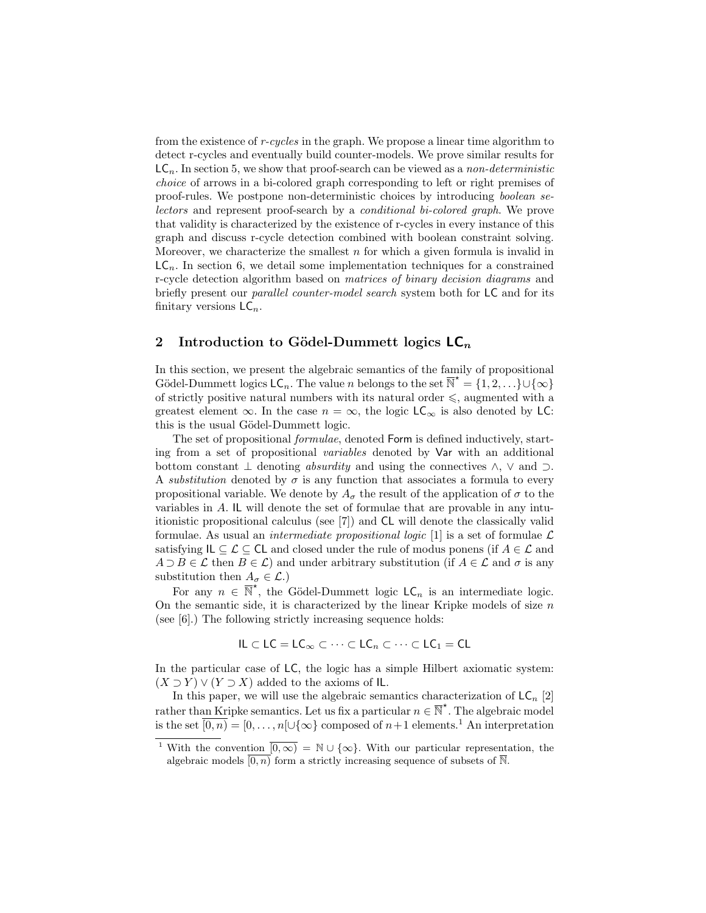from the existence of r-cycles in the graph. We propose a linear time algorithm to detect r-cycles and eventually build counter-models. We prove similar results for  $LC_n$ . In section 5, we show that proof-search can be viewed as a non-deterministic choice of arrows in a bi-colored graph corresponding to left or right premises of proof-rules. We postpone non-deterministic choices by introducing boolean selectors and represent proof-search by a conditional bi-colored graph. We prove that validity is characterized by the existence of r-cycles in every instance of this graph and discuss r-cycle detection combined with boolean constraint solving. Moreover, we characterize the smallest  $n$  for which a given formula is invalid in  $LC_n$ . In section 6, we detail some implementation techniques for a constrained r-cycle detection algorithm based on matrices of binary decision diagrams and briefly present our parallel counter-model search system both for LC and for its finitary versions  $\mathsf{LC}_n$ .

### 2 Introduction to Gödel-Dummett logics  $LC_n$

In this section, we present the algebraic semantics of the family of propositional Gödel-Dummett logics  $\mathsf{LC}_n$ . The value n belongs to the set  $\overline{\mathbb{N}}^* = \{1, 2, ...\} \cup \{\infty\}$ of strictly positive natural numbers with its natural order  $\leq$ , augmented with a greatest element  $\infty$ . In the case  $n = \infty$ , the logic LC<sub>∞</sub> is also denoted by LC: this is the usual Gödel-Dummett logic.

The set of propositional formulae, denoted Form is defined inductively, starting from a set of propositional variables denoted by Var with an additional bottom constant  $\perp$  denoting *absurdity* and using the connectives  $\wedge$ ,  $\vee$  and  $\supset$ . A substitution denoted by  $\sigma$  is any function that associates a formula to every propositional variable. We denote by  $A_{\sigma}$  the result of the application of  $\sigma$  to the variables in A. IL will denote the set of formulae that are provable in any intuitionistic propositional calculus (see [7]) and CL will denote the classically valid formulae. As usual an *intermediate propositional logic* [1] is a set of formulae  $\mathcal{L}$ satisfying  $IL \subseteq \mathcal{L} \subseteq CL$  and closed under the rule of modus ponens (if  $A \in \mathcal{L}$  and  $A \supset B \in \mathcal{L}$  then  $B \in \mathcal{L}$ ) and under arbitrary substitution (if  $A \in \mathcal{L}$  and  $\sigma$  is any substitution then  $A_{\sigma} \in \mathcal{L}$ .)

For any  $n \in \overline{\mathbb{N}}^*$ , the Gödel-Dummett logic  $\mathsf{LC}_n$  is an intermediate logic. On the semantic side, it is characterized by the linear Kripke models of size  $n$ (see [6].) The following strictly increasing sequence holds:

$$
\mathsf{IL} \subset \mathsf{LC} = \mathsf{LC}_{\infty} \subset \cdots \subset \mathsf{LC}_n \subset \cdots \subset \mathsf{LC}_1 = \mathsf{CL}
$$

In the particular case of LC, the logic has a simple Hilbert axiomatic system:  $(X \supset Y) \vee (Y \supset X)$  added to the axioms of IL.

In this paper, we will use the algebraic semantics characterization of  $LC_n$  [2] rather than Kripke semantics. Let us fix a particular  $n \in \overline{\mathbb{N}}^*$ . The algebraic model is the set  $\overline{[0,n)} = [0,\ldots,n[\cup\{\infty\}$  composed of  $n+1$  elements.<sup>1</sup> An interpretation

<sup>&</sup>lt;sup>1</sup> With the convention  $\overline{[0,\infty)} = \mathbb{N} \cup \{\infty\}$ . With our particular representation, the algebraic models  $\overline{[0,n)}$  form a strictly increasing sequence of subsets of  $\overline{\mathbb{N}}$ .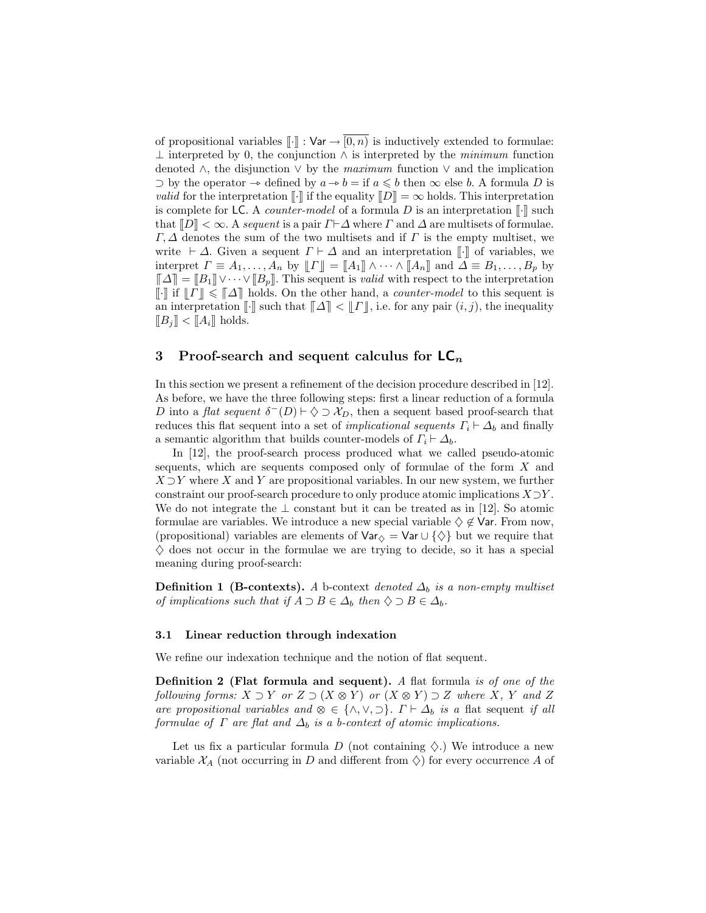of propositional variables  $\lbrack\cdot\rbrack\rbrack$  :  $\forall$ ar  $\rightarrow$   $\lbrack 0,n\rbrack\rbrack$  is inductively extended to formulae:  $\perp$  interpreted by 0, the conjunction  $\wedge$  is interpreted by the minimum function denoted  $\wedge$ , the disjunction  $\vee$  by the maximum function  $\vee$  and the implication ⊃ by the operator  $\rightarrow$  defined by  $a \rightarrow b =$  if  $a \leq b$  then  $\infty$  else b. A formula D is *valid* for the interpretation  $\llbracket \cdot \rrbracket$  if the equality  $\llbracket D \rrbracket = \infty$  holds. This interpretation is complete for LC. A *counter-model* of a formula  $D$  is an interpretation  $\llbracket \cdot \rrbracket$  such that  $\llbracket D \rrbracket < \infty$ . A sequent is a pair  $\Gamma \vdash \Delta$  where  $\Gamma$  and  $\Delta$  are multisets of formulae.  $\Gamma, \Delta$  denotes the sum of the two multisets and if  $\Gamma$  is the empty multiset, we write  $\vdash \Delta$ . Given a sequent  $\Gamma \vdash \Delta$  and an interpretation  $\lVert \cdot \rVert$  of variables, we interpret  $\Gamma \equiv A_1, \ldots, A_n$  by  $\llbracket \Gamma \rrbracket = \llbracket A_1 \rrbracket \wedge \cdots \wedge \llbracket A_n \rrbracket$  and  $\Delta \equiv B_1, \ldots, B_p$  by  $\llbracket \Delta \rrbracket = \llbracket B_1 \rrbracket \vee \cdots \vee \llbracket B_p \rrbracket$ . This sequent is *valid* with respect to the interpretation [ $\cdot$ ] if  $||T|| \le ||\Delta||$  holds. On the other hand, a *counter-model* to this sequent is an interpretation  $\llbracket \cdot \rrbracket$  such that  $\llbracket \Delta \rrbracket \leq \llbracket \Gamma \rrbracket$ , i.e. for any pair  $(i, j)$ , the inequality  $[[B_j] < [[A_i]]$  holds.

### 3 Proof-search and sequent calculus for  $LC_n$

In this section we present a refinement of the decision procedure described in [12]. As before, we have the three following steps: first a linear reduction of a formula D into a flat sequent  $\delta^{-}(D) \vdash \Diamond \supset \mathcal{X}_D$ , then a sequent based proof-search that reduces this flat sequent into a set of *implicational sequents*  $\Gamma_i \vdash \Delta_b$  and finally a semantic algorithm that builds counter-models of  $\Gamma_i \vdash \Delta_b$ .

In [12], the proof-search process produced what we called pseudo-atomic sequents, which are sequents composed only of formulae of the form X and  $X \supset Y$  where X and Y are propositional variables. In our new system, we further constraint our proof-search procedure to only produce atomic implications  $X\supset Y$ . We do not integrate the  $\perp$  constant but it can be treated as in [12]. So atomic formulae are variables. We introduce a new special variable  $\diamondsuit \notin \mathsf{Var}$ . From now, (propositional) variables are elements of  $\text{Var}_{\diamondsuit} = \text{Var} \cup {\diamondsuit}$  but we require that  $\diamondsuit$  does not occur in the formulae we are trying to decide, so it has a special meaning during proof-search:

**Definition 1 (B-contexts).** A b-context denoted  $\Delta_b$  is a non-empty multiset of implications such that if  $A \supset B \in \Delta_b$  then  $\diamondsuit \supset B \in \Delta_b$ .

#### 3.1 Linear reduction through indexation

We refine our indexation technique and the notion of flat sequent.

Definition 2 (Flat formula and sequent). A flat formula is of one of the following forms:  $X \supset Y$  or  $Z \supset (X \otimes Y)$  or  $(X \otimes Y) \supset Z$  where  $X, Y$  and  $Z$ are propositional variables and  $\otimes \in \{\wedge, \vee, \supset\}$ .  $\Gamma \vdash \Delta_b$  is a flat sequent if all formulae of  $\Gamma$  are flat and  $\Delta_b$  is a b-context of atomic implications.

Let us fix a particular formula D (not containing  $\Diamond$ ) We introduce a new variable  $\mathcal{X}_A$  (not occurring in D and different from  $\Diamond$ ) for every occurrence A of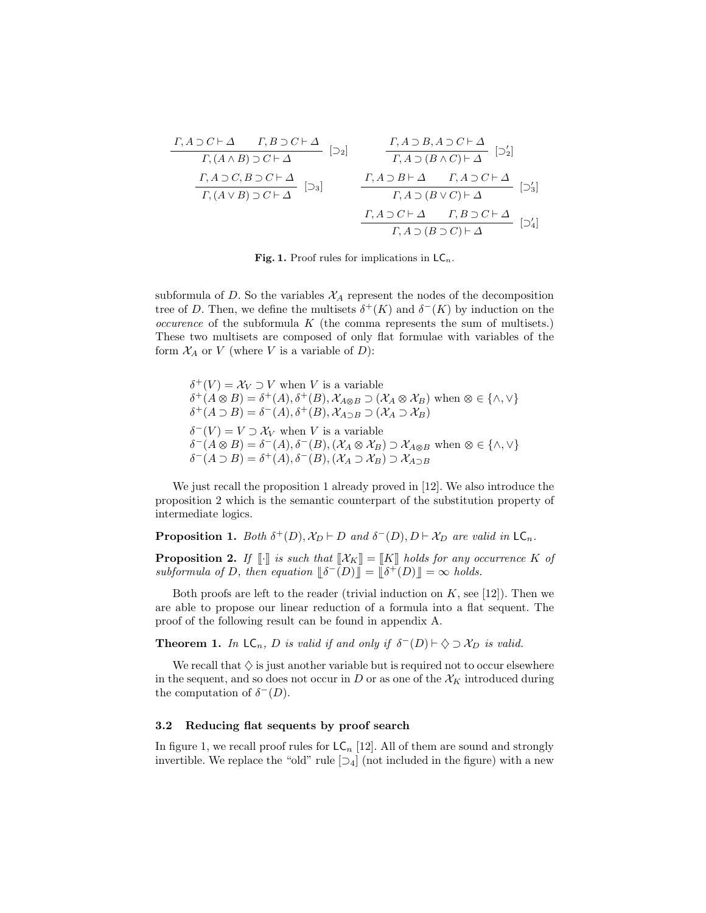| $T, A \supset C \vdash \Delta$                                                                      | $T, B \supset C \vdash \Delta$ | $\left[\supseteq_{2}\right]$                                                           | $\frac{\Gamma, A \supset B, A \supset C \vdash \Delta}{\Gamma, A \supset (B \land C) \vdash \Delta}$ | $\left[\supseteq_{2}\right]$ |
|-----------------------------------------------------------------------------------------------------|--------------------------------|----------------------------------------------------------------------------------------|------------------------------------------------------------------------------------------------------|------------------------------|
| $\frac{\Gamma, A \supset C, B \supset C \vdash \Delta}{\Gamma, (A \lor B) \supset C \vdash \Delta}$ | $\left[\supseteq_{3}\right]$   | $\frac{\Gamma, A \supset B \vdash \Delta}{\Gamma, A \supset (B \lor C) \vdash \Delta}$ | $\left[\supseteq_{3}\right]$                                                                         |                              |
| $\frac{\Gamma, A \supset C \vdash \Delta}{\Gamma, A \supset (B \lor C) \vdash \Delta}$              | $\left[\supseteq_{4}\right]$   |                                                                                        |                                                                                                      |                              |

Fig. 1. Proof rules for implications in  $\mathsf{LC}_n$ .

subformula of D. So the variables  $\mathcal{X}_A$  represent the nodes of the decomposition tree of D. Then, we define the multisets  $\delta^+(K)$  and  $\delta^-(K)$  by induction on the  $occurence$  of the subformula  $K$  (the comma represents the sum of multisets.) These two multisets are composed of only flat formulae with variables of the form  $\mathcal{X}_A$  or V (where V is a variable of D):

 $\delta^+(V) = \mathcal{X}_V \supset V$  when V is a variable  $\delta^+(A \otimes B) = \delta^+(A), \delta^+(B), \mathcal{X}_{A \otimes B} \supset (\mathcal{X}_A \otimes \mathcal{X}_B)$  when  $\otimes \in \{\wedge, \vee\}$ <br> $\delta^+(A \supseteq B) = \delta^-(A), \delta^+(B), \mathcal{Y}_{A \otimes B} \supseteq (\mathcal{Y}_{A} \supseteq \mathcal{Y}_{B})$  $\delta^+(A \supset B) = \delta^-(A), \delta^+(B), \mathcal{X}_{A \supset B} \supset (\mathcal{X}_A \supset \mathcal{X}_B)$  $\delta^-(V) = V \supset \mathcal{X}_V$  when V is a variable  $\delta^-(A \otimes B) = \delta^-(A), \delta^-(B), (\mathcal{X}_A \otimes \mathcal{X}_B) \supset \mathcal{X}_{A \otimes B}$  when  $\otimes \in \{\wedge, \vee\}$ <br> $\delta^-(A \supseteq B) = \delta^+(A), \delta^-(B), (\mathcal{Y}_A \supseteq \mathcal{Y}_B) \supseteq \mathcal{Y}_A$  $\delta^{-}(A \supset B) = \delta^{+}(A), \delta^{-}(B), (\mathcal{X}_{A} \supset \mathcal{X}_{B}) \supset \mathcal{X}_{A \supset B}$ 

We just recall the proposition 1 already proved in [12]. We also introduce the proposition 2 which is the semantic counterpart of the substitution property of intermediate logics.

**Proposition 1.** Both  $\delta^+(D)$ ,  $\mathcal{X}_D \vdash D$  and  $\delta^-(D)$ ,  $D \vdash \mathcal{X}_D$  are valid in  $\mathsf{LC}_n$ .

**Proposition 2.** If  $\llbracket \cdot \rrbracket$  is such that  $\llbracket \mathcal{X}_K \rrbracket = \llbracket K \rrbracket$  holds for any occurrence K of subformula of D, then equation  $\|\delta^{-}(D)\| = \|\delta^{+}(D)\| = \infty$  holds.

Both proofs are left to the reader (trivial induction on  $K$ , see [12]). Then we are able to propose our linear reduction of a formula into a flat sequent. The proof of the following result can be found in appendix A.

**Theorem 1.** In  $\mathsf{LC}_n$ , D is valid if and only if  $\delta^{-}(D) \vdash \Diamond \supset \mathcal{X}_D$  is valid.

We recall that  $\Diamond$  is just another variable but is required not to occur elsewhere in the sequent, and so does not occur in  $D$  or as one of the  $\mathcal{X}_K$  introduced during the computation of  $\delta^-(D)$ .

### 3.2 Reducing flat sequents by proof search

In figure 1, we recall proof rules for  $LC_n$  [12]. All of them are sound and strongly invertible. We replace the "old" rule  $[\supset_4]$  (not included in the figure) with a new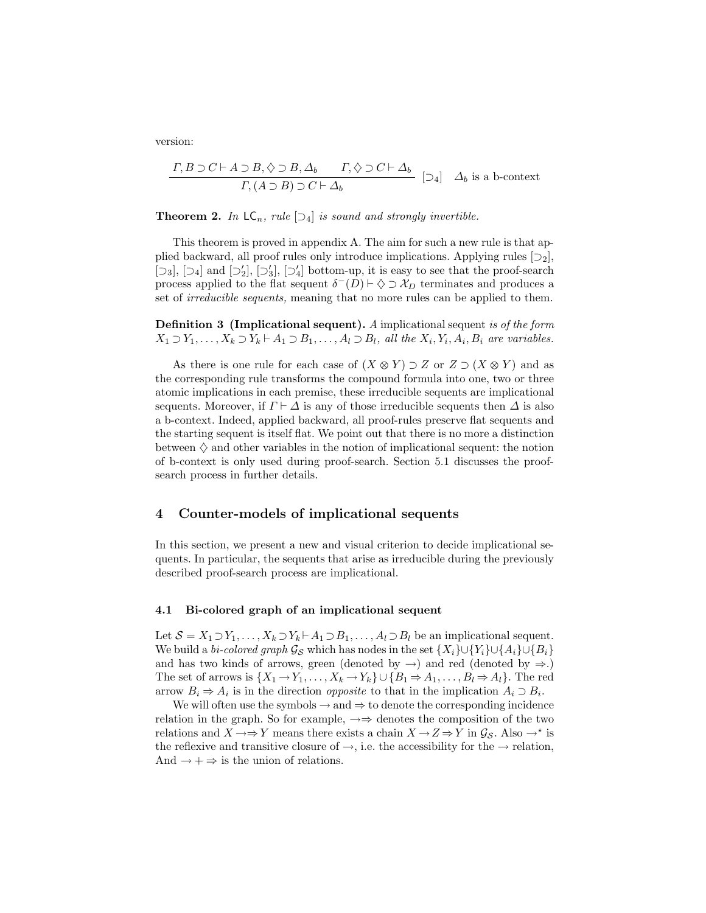version:

$$
\frac{\Gamma, B \supset C \vdash A \supset B, \Diamond \supset B, \Delta_b \qquad \Gamma, \Diamond \supset C \vdash \Delta_b}{\Gamma, (A \supset B) \supset C \vdash \Delta_b} \quad [\supset_4] \quad \Delta_b \text{ is a b-context}
$$

**Theorem 2.** In  $LC_n$ , rule  $[\supseteq_4]$  is sound and strongly invertible.

This theorem is proved in appendix A. The aim for such a new rule is that applied backward, all proof rules only introduce implications. Applying rules  $[\supseteq_2]$ , [ $\Box$ 3], [ $\Box$ 4] and [ $\Box'$ <sub>2</sub>], [ $\Box'$ <sub>4</sub>] bottom-up, it is easy to see that the proof-search process applied to the flat sequent  $\delta^{-}(D) \vdash \Diamond \supset \mathcal{X}_{D}$  terminates and produces a set of *irreducible sequents*, meaning that no more rules can be applied to them.

Definition 3 (Implicational sequent). A implicational sequent is of the form  $X_1 \supset Y_1, \ldots, X_k \supset Y_k \vdash A_1 \supset B_1, \ldots, A_l \supset B_l$ , all the  $X_i, Y_i, A_i, B_i$  are variables.

As there is one rule for each case of  $(X \otimes Y) \supset Z$  or  $Z \supset (X \otimes Y)$  and as the corresponding rule transforms the compound formula into one, two or three atomic implications in each premise, these irreducible sequents are implicational sequents. Moreover, if  $\Gamma \vdash \Delta$  is any of those irreducible sequents then  $\Delta$  is also a b-context. Indeed, applied backward, all proof-rules preserve flat sequents and the starting sequent is itself flat. We point out that there is no more a distinction between  $\Diamond$  and other variables in the notion of implicational sequent: the notion of b-context is only used during proof-search. Section 5.1 discusses the proofsearch process in further details.

### 4 Counter-models of implicational sequents

In this section, we present a new and visual criterion to decide implicational sequents. In particular, the sequents that arise as irreducible during the previously described proof-search process are implicational.

### 4.1 Bi-colored graph of an implicational sequent

Let  $S = X_1 \supset Y_1, \ldots, X_k \supset Y_k \vdash A_1 \supset B_1, \ldots, A_l \supset B_l$  be an implicational sequent. We build a bi-colored graph  $\mathcal{G}_{\mathcal{S}}$  which has nodes in the set  $\{X_i\} \cup \{Y_i\} \cup \{A_i\} \cup \{B_i\}$ and has two kinds of arrows, green (denoted by  $\rightarrow$ ) and red (denoted by  $\Rightarrow$ .) The set of arrows is  $\{X_1 \to Y_1, \ldots, X_k \to Y_k\} \cup \{B_1 \to A_1, \ldots, B_l \to A_l\}.$  The red arrow  $B_i \Rightarrow A_i$  is in the direction *opposite* to that in the implication  $A_i \supset B_i$ .

We will often use the symbols  $\rightarrow$  and  $\Rightarrow$  to denote the corresponding incidence relation in the graph. So for example,  $\rightarrow \Rightarrow$  denotes the composition of the two relations and  $X \to Y$  means there exists a chain  $X \to Z \Rightarrow Y$  in  $\mathcal{G}_{\mathcal{S}}$ . Also  $\xrightarrow{\star}$  is the reflexive and transitive closure of  $\rightarrow$ , i.e. the accessibility for the  $\rightarrow$  relation, And  $\rightarrow + \Rightarrow$  is the union of relations.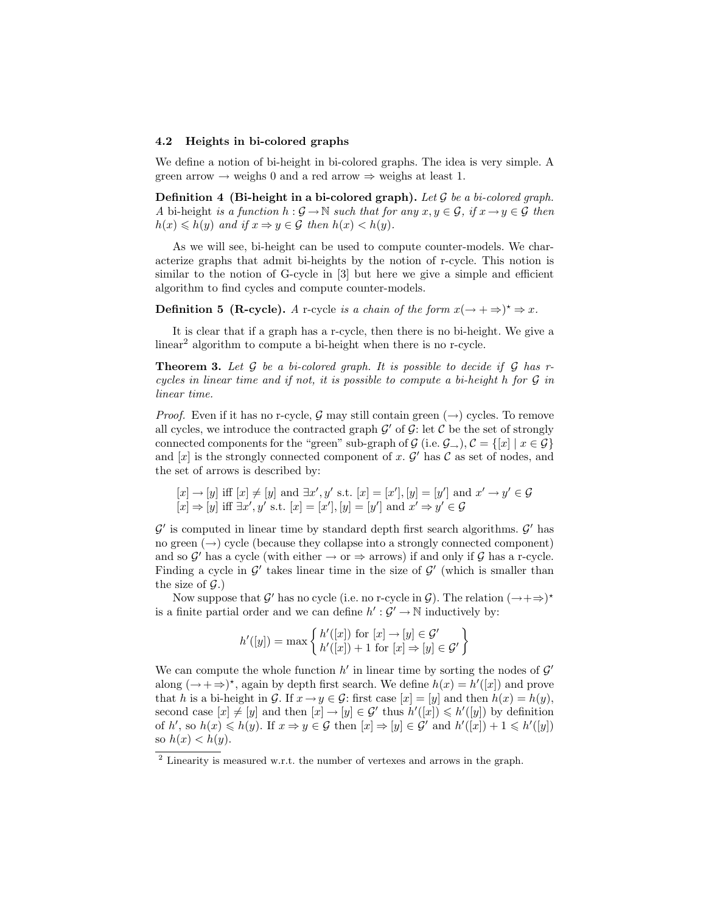### 4.2 Heights in bi-colored graphs

We define a notion of bi-height in bi-colored graphs. The idea is very simple. A green arrow  $\rightarrow$  weighs 0 and a red arrow  $\Rightarrow$  weighs at least 1.

Definition 4 (Bi-height in a bi-colored graph). Let  $G$  be a bi-colored graph. A bi-height is a function  $h : \mathcal{G} \to \mathbb{N}$  such that for any  $x, y \in \mathcal{G}$ , if  $x \to y \in \mathcal{G}$  then  $h(x) \leq h(y)$  and if  $x \Rightarrow y \in \mathcal{G}$  then  $h(x) < h(y)$ .

As we will see, bi-height can be used to compute counter-models. We characterize graphs that admit bi-heights by the notion of r-cycle. This notion is similar to the notion of G-cycle in [3] but here we give a simple and efficient algorithm to find cycles and compute counter-models.

**Definition 5 (R-cycle).** A r-cycle is a chain of the form  $x(\rightarrow +\Rightarrow)^* \Rightarrow x$ .

It is clear that if a graph has a r-cycle, then there is no bi-height. We give a linear<sup>2</sup> algorithm to compute a bi-height when there is no r-cycle.

**Theorem 3.** Let  $G$  be a bi-colored graph. It is possible to decide if  $G$  has rcycles in linear time and if not, it is possible to compute a bi-height h for  $\mathcal G$  in linear time.

*Proof.* Even if it has no r-cycle, G may still contain green  $(\rightarrow)$  cycles. To remove all cycles, we introduce the contracted graph  $\mathcal{G}'$  of  $\mathcal{G}$ : let  $\mathcal{C}$  be the set of strongly connected components for the "green" sub-graph of  $\mathcal{G}$  (i.e.  $\mathcal{G}_{\rightarrow}$ ),  $\mathcal{C} = \{[x] | x \in \mathcal{G}\}\$ and  $[x]$  is the strongly connected component of x.  $\mathcal{G}'$  has  $\mathcal{C}$  as set of nodes, and the set of arrows is described by:

$$
[x] \rightarrow [y]
$$
 iff  $[x] \neq [y]$  and  $\exists x', y'$  s.t.  $[x] = [x'], [y] = [y']$  and  $x' \rightarrow y' \in \mathcal{G}$  $[x] \Rightarrow [y]$  iff  $\exists x', y'$  s.t.  $[x] = [x'], [y] = [y']$  and  $x' \Rightarrow y' \in \mathcal{G}$ 

 $\mathcal{G}'$  is computed in linear time by standard depth first search algorithms.  $\mathcal{G}'$  has no green  $(\rightarrow)$  cycle (because they collapse into a strongly connected component) and so  $\mathcal{G}'$  has a cycle (with either  $\rightarrow$  or  $\Rightarrow$  arrows) if and only if  $\mathcal{G}$  has a r-cycle. Finding a cycle in  $\mathcal{G}'$  takes linear time in the size of  $\mathcal{G}'$  (which is smaller than the size of  $\mathcal{G}$ .)

Now suppose that  $\mathcal{G}'$  has no cycle (i.e. no r-cycle in  $\mathcal{G}$ ). The relation  $(\rightarrow +\Rightarrow)^*$ is a finite partial order and we can define  $h': \mathcal{G}' \to \mathbb{N}$  inductively by:

$$
h'([y]) = \max\left\{\begin{matrix}h'([x]) \text{ for } [x] \to [y] \in \mathcal{G}'\\h'([x]) + 1 \text{ for } [x] \Rightarrow [y] \in \mathcal{G}'\end{matrix}\right\}
$$

We can compute the whole function  $h'$  in linear time by sorting the nodes of  $\mathcal{G}'$ along  $(\rightarrow + \rightarrow)^*$ , again by depth first search. We define  $h(x) = h'([x])$  and prove that h is a bi-height in G. If  $x \to y \in \mathcal{G}$ : first case  $[x] = [y]$  and then  $h(x) = h(y)$ , second case  $[x] \neq [y]$  and then  $[x] \rightarrow [y] \in \mathcal{G}'$  thus  $h'([x]) \leq h'([y])$  by definition of h', so  $h(x) \leq h(y)$ . If  $x \to y \in \mathcal{G}$  then  $[x] \to [y] \in \mathcal{G}'$  and  $h'([x]) + 1 \leq h'([y])$ so  $h(x) < h(y)$ .

<sup>2</sup> Linearity is measured w.r.t. the number of vertexes and arrows in the graph.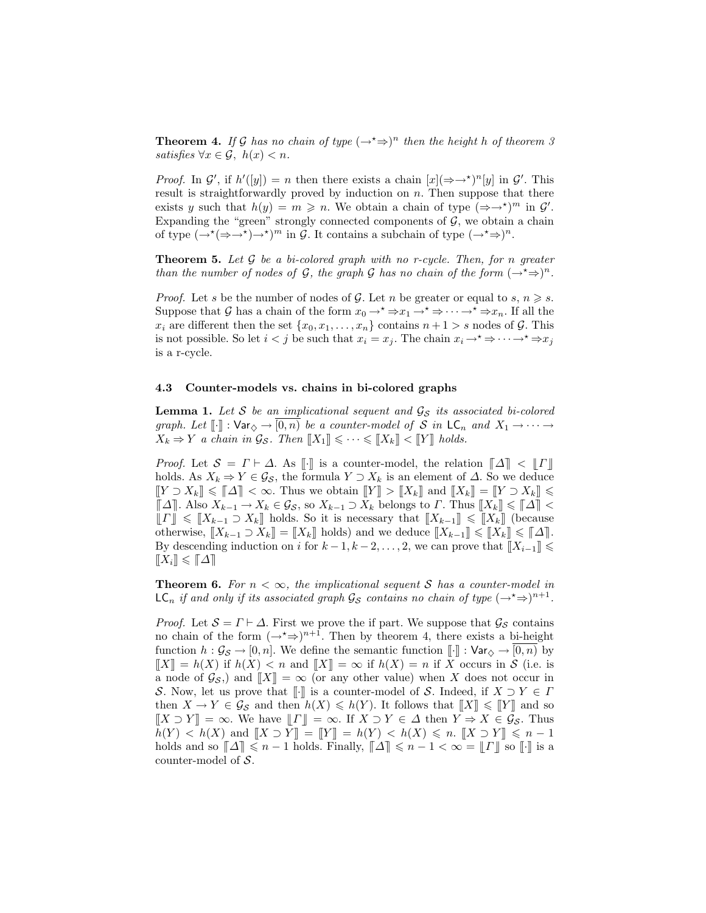**Theorem 4.** If G has no chain of type  $(\rightarrow^* \Rightarrow)^n$  then the height h of theorem 3 satisfies  $\forall x \in \mathcal{G}, h(x) < n$ .

*Proof.* In  $\mathcal{G}'$ , if  $h'([y]) = n$  then there exists a chain  $[x](\Rightarrow^{*})^n[y]$  in  $\mathcal{G}'$ . This result is straightforwardly proved by induction on  $n$ . Then suppose that there exists y such that  $h(y) = m \ge n$ . We obtain a chain of type  $(\Rightarrow \rightarrow)^m$  in  $\mathcal{G}'$ . Expanding the "green" strongly connected components of  $G$ , we obtain a chain of type  $(\rightarrow^* (\Rightarrow \rightarrow^*) \rightarrow^*)^m$  in G. It contains a subchain of type  $(\rightarrow^* \Rightarrow)^n$ .

**Theorem 5.** Let  $G$  be a bi-colored graph with no r-cycle. Then, for n greater than the number of nodes of G, the graph G has no chain of the form  $(\rightarrow^* \Rightarrow)^n$ .

*Proof.* Let s be the number of nodes of G. Let n be greater or equal to s,  $n \geq s$ . Suppose that G has a chain of the form  $x_0 \rightarrow^* \Rightarrow x_1 \rightarrow^* \Rightarrow \cdots \rightarrow^* \Rightarrow x_n$ . If all the  $x_i$  are different then the set  $\{x_0, x_1, \ldots, x_n\}$  contains  $n+1 > s$  nodes of G. This is not possible. So let  $i < j$  be such that  $x_i = x_j$ . The chain  $x_i \to^* \Rightarrow \cdots \to^* \Rightarrow x_j$ is a r-cycle.

#### 4.3 Counter-models vs. chains in bi-colored graphs

**Lemma 1.** Let S be an implicational sequent and  $\mathcal{G}_{S}$  its associated bi-colored graph. Let  $[\![\cdot]\!]$  :  $\forall$ ar $\Diamond \rightarrow [\overline{0,n}]$  be a counter-model of S in  $\mathsf{LC}_n$  and  $X_1 \rightarrow \cdots \rightarrow$  $X_k \Rightarrow Y$  a chain in  $\mathcal{G}_{\mathcal{S}}$ . Then  $[[X_1]] \leq \cdots \leq [[X_k]] \leq [[Y]]$  holds.

*Proof.* Let  $S = \Gamma \vdash \Delta$ . As  $\llbracket \cdot \rrbracket$  is a counter-model, the relation  $\llbracket \Delta \rrbracket < \llbracket \Gamma \rrbracket$ holds. As  $X_k \Rightarrow Y \in \mathcal{G}_S$ , the formula  $Y \supset X_k$  is an element of  $\Delta$ . So we deduce  $[[Y \supset X_k] \leq \llbracket \Delta \rrbracket < \infty$ . Thus we obtain  $[[Y] \supset [X_k]]$  and  $[[X_k] = [[Y \supset X_k]] \leq$  $\llbracket \Delta \rrbracket$ . Also  $X_{k-1} \to X_k \in \mathcal{G}_{\mathcal{S}}$ , so  $X_{k-1} \supset X_k$  belongs to  $\Gamma$ . Thus  $\llbracket X_k \rrbracket \leq \llbracket \Delta \rrbracket <$  $\llbracket \Gamma \rrbracket \leqslant \llbracket X_{k-1} \supseteq X_k \rrbracket$  holds. So it is necessary that  $\llbracket X_{k-1} \rrbracket \leqslant \llbracket X_k \rrbracket$  (because otherwise,  $[[X_{k-1} \supset X_k] = [[X_k]]$  holds) and we deduce  $[[X_{k-1}]] \leq [[X_k]] \leq [[\Delta]]$ . By descending induction on i for  $k-1, k-2, \ldots, 2$ , we can prove that  $[[X_{i-1}]] \le$  $\|\tilde{X}_i\| \leqslant \|\Delta\|$ 

**Theorem 6.** For  $n < \infty$ , the implicational sequent S has a counter-model in  $\mathsf{LC}_n$  if and only if its associated graph  $\mathcal{G}_{\mathcal{S}}$  contains no chain of type  $(\rightarrow^{\star} \Rightarrow)^{n+1}$ .

*Proof.* Let  $S = \Gamma \vdash \Delta$ . First we prove the if part. We suppose that  $\mathcal{G}_S$  contains no chain of the form  $(\rightarrow^* \Rightarrow)^{n+1}$ . Then by theorem 4, there exists a bi-height function  $h : \mathcal{G}_{\mathcal{S}} \to [0, n]$ . We define the semantic function  $\llbracket \cdot \rrbracket : \text{Var}_{\diamondsuit} \to \overline{[0, n]}$  by  $[[X]] = h(X)$  if  $h(X) < n$  and  $[[X]] = \infty$  if  $h(X) = n$  if X occurs in S (i.e. is a node of  $\mathcal{G}_{\mathcal{S}}$ , and  $||X|| = \infty$  (or any other value) when X does not occur in S. Now, let us prove that  $\llbracket \cdot \rrbracket$  is a counter-model of S. Indeed, if  $X \supset Y \in \Gamma$ then  $X \to Y \in \mathcal{G}_{\mathcal{S}}$  and then  $h(X) \leq h(Y)$ . It follows that  $[[X]] \leq [[Y]]$  and so  $[[X \supset Y]] = \infty$ . We have  $[[T]] = \infty$ . If  $X \supset Y \in \Delta$  then  $Y \Rightarrow X \in \mathcal{G}_{\mathcal{S}}$ . Thus  $h(Y) < h(X)$  and  $[[X \supset Y]] = [[Y]] = h(Y) < h(X) \leq n$ .  $[[X \supset Y]] \leq n - 1$ holds and so  $\llbracket \Delta \rrbracket \leq n - 1$  holds. Finally,  $\llbracket \Delta \rrbracket \leq n - 1 < \infty = \llbracket \Gamma \rrbracket$  so  $\llbracket \cdot \rrbracket$  is a counter-model of S.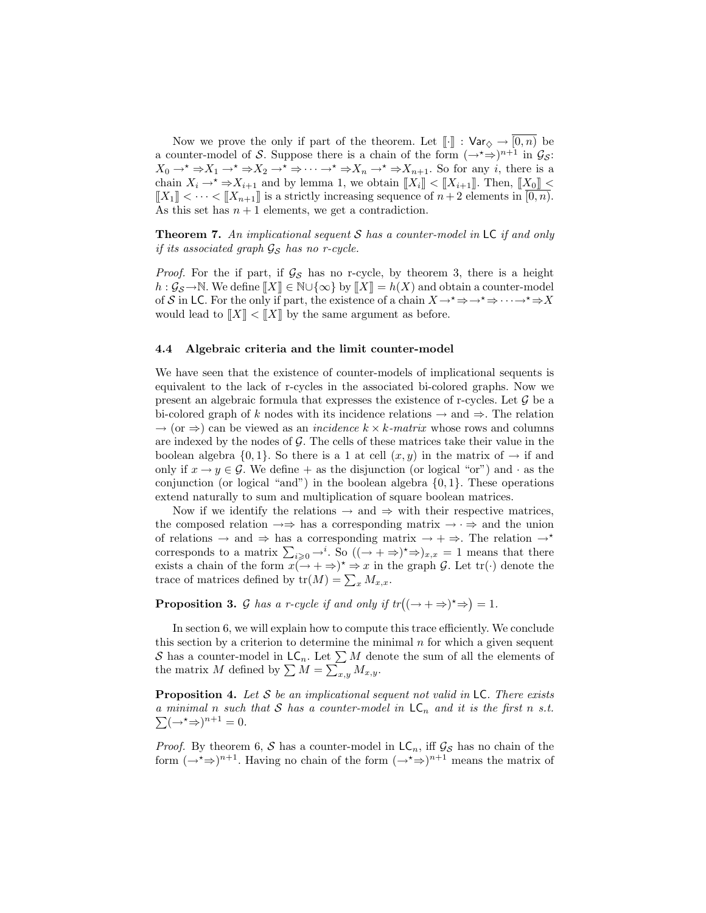Now we prove the only if part of the theorem. Let  $\llbracket \cdot \rrbracket$  :  $\forall$ ar $\Diamond \rightarrow [0, n)$  be a counter-model of S. Suppose there is a chain of the form  $(\rightarrow^* \Rightarrow)^{n+1}$  in  $\mathcal{G}_{\mathcal{S}}$ :  $X_0 \to X^* \to X_1 \to X_2 \to X^* \to \cdots \to X_n \to X_{n+1}$ . So for any *i*, there is a chain  $X_i \to^* \Rightarrow X_{i+1}$  and by lemma 1, we obtain  $[[X_i]] < [[X_{i+1}]]$ . Then,  $[[X_0]] <$  $[[X_1]] < \cdots < [[X_{n+1}]]$  is a strictly increasing sequence of  $n+2$  elements in  $[0,n]$ . As this set has  $n + 1$  elements, we get a contradiction.

**Theorem 7.** An implicational sequent S has a counter-model in  $LC$  if and only if its associated graph  $\mathcal{G}_{\mathcal{S}}$  has no r-cycle.

*Proof.* For the if part, if  $\mathcal{G}_{\mathcal{S}}$  has no r-cycle, by theorem 3, there is a height  $h: \mathcal{G}_{\mathcal{S}} \to \mathbb{N}$ . We define  $[[X]] \in \mathbb{N} \cup \{\infty\}$  by  $[[X]] = h(X)$  and obtain a counter-model of S in LC. For the only if part, the existence of a chain  $X \to^* \Rightarrow^* \Rightarrow^* \Rightarrow^* \Rightarrow X$ would lead to  $||X|| < ||X||$  by the same argument as before.

### 4.4 Algebraic criteria and the limit counter-model

We have seen that the existence of counter-models of implicational sequents is equivalent to the lack of r-cycles in the associated bi-colored graphs. Now we present an algebraic formula that expresses the existence of r-cycles. Let  $\mathcal G$  be a bi-colored graph of k nodes with its incidence relations  $\rightarrow$  and  $\Rightarrow$ . The relation  $\rightarrow$  (or  $\Rightarrow$ ) can be viewed as an *incidence k × k-matrix* whose rows and columns are indexed by the nodes of  $\mathcal G$ . The cells of these matrices take their value in the boolean algebra  $\{0,1\}$ . So there is a 1 at cell  $(x, y)$  in the matrix of  $\rightarrow$  if and only if  $x \to y \in \mathcal{G}$ . We define  $+$  as the disjunction (or logical "or") and  $\cdot$  as the conjunction (or logical "and") in the boolean algebra  $\{0, 1\}$ . These operations extend naturally to sum and multiplication of square boolean matrices.

Now if we identify the relations  $\rightarrow$  and  $\rightarrow$  with their respective matrices, the composed relation  $\rightarrow \Rightarrow$  has a corresponding matrix  $\rightarrow \rightarrow \Rightarrow$  and the union of relations  $\rightarrow$  and  $\Rightarrow$  has a corresponding matrix  $\rightarrow + \Rightarrow$ . The relation  $\rightarrow^*$ corresponds to a matrix  $\sum_{i\geqslant 0} \rightarrow^i$ . So  $((\rightarrow + \Rightarrow)^{\star} \Rightarrow)_{x,x} = 1$  means that there exists a chain of the form  $x(\rightarrow + \Rightarrow)^* \Rightarrow x$  in the graph G. Let  $tr(\cdot)$  denote the trace of matrices defined by  $tr(M) = \sum_{x} M_{x,x}$ .

### **Proposition 3.** G has a r-cycle if and only if  $tr((\rightarrow + \Rightarrow)^* \Rightarrow) = 1$ .

In section 6, we will explain how to compute this trace efficiently. We conclude this section by a criterion to determine the minimal  $n$  for which a given sequent S has a counter-model in  $\mathsf{LC}_n$ . Let  $\sum M$  denote the sum of all the elements of the matrix M defined by  $\sum M = \sum_{x,y} M_{x,y}$ .

**Proposition 4.** Let  $S$  be an implicational sequent not valid in  $LC$ . There exists a minimal n such that S has a counter-model in  $LC_n$  and it is the first n s.t.  $\sum (\rightarrow^* \Rightarrow)^{n+1} = 0.$ 

*Proof.* By theorem 6, S has a counter-model in  $LC_n$ , iff  $\mathcal{G}_{\mathcal{S}}$  has no chain of the form  $(\rightarrow^* \Rightarrow)^{n+1}$ . Having no chain of the form  $(\rightarrow^* \Rightarrow)^{n+1}$  means the matrix of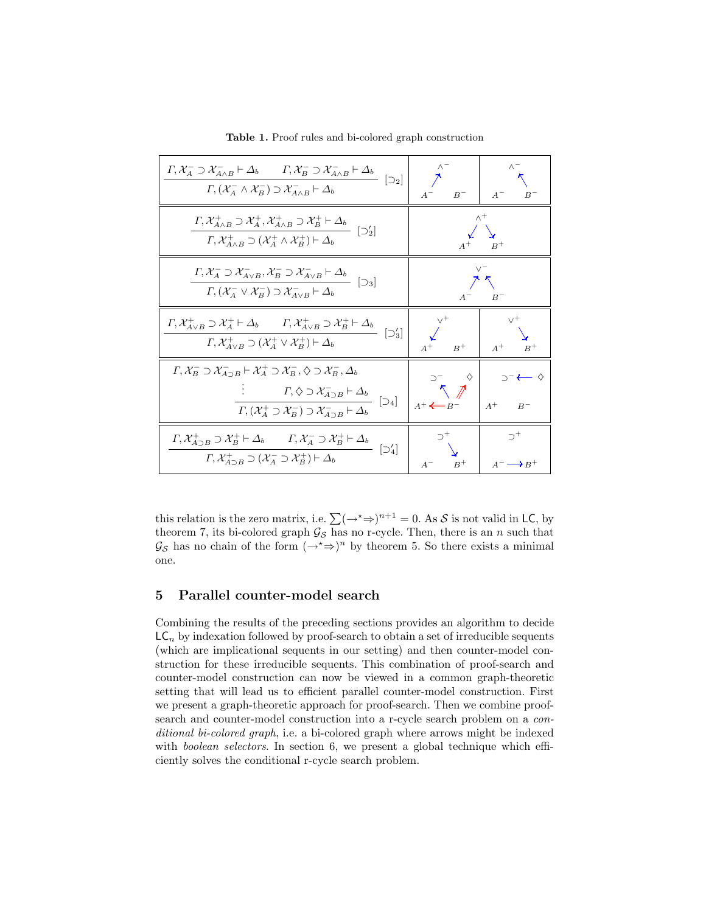| $\Gamma, \mathcal{X}_A^- \supset \mathcal{X}_{A \wedge B}^- \vdash \Delta_b \qquad \Gamma, \mathcal{X}_B^- \supset \mathcal{X}_{A \wedge B}^- \vdash \Delta_b \qquad [\supset_2]$<br>$\Gamma$ , $(\mathcal{X}_A^- \wedge \mathcal{X}_B^-) \supset \mathcal{X}_{A \wedge B}^- \vdash \Delta_b$                                                                                                      | $A^ B^-$                                                                                                                           | $A^ B^-$                                                                                                                                                                           |
|----------------------------------------------------------------------------------------------------------------------------------------------------------------------------------------------------------------------------------------------------------------------------------------------------------------------------------------------------------------------------------------------------|------------------------------------------------------------------------------------------------------------------------------------|------------------------------------------------------------------------------------------------------------------------------------------------------------------------------------|
| $\frac{\varGamma,\mathcal{X}^+_{A\wedge B}\supset\mathcal{X}^+_A,\mathcal{X}^+_{A\wedge B}\supset\mathcal{X}^+_B\vdash\varDelta_b}{\varGamma,\mathcal{X}^+_{A\wedge B}\supset(\mathcal{X}^+_A\wedge\mathcal{X}^+_B)\vdash\varDelta_b}\ \ [\supseteq_2']$                                                                                                                                           | $\wedge^+$<br>$A^+$ $B^+$                                                                                                          |                                                                                                                                                                                    |
| $\frac{\Gamma, \mathcal{X}_A^- \supset \mathcal{X}_{A \vee B}^-, \mathcal{X}_B^- \supset \mathcal{X}_{A \vee B}^- \vdash \Delta_b}{\Gamma, (\mathcal{X}_A^- \vee \mathcal{X}_B^-) \supset \mathcal{X}_{A \vee B}^- \vdash \Delta_b} \ \ [\supseteq_3]$                                                                                                                                             | $V^-$<br>フへ<br>$A^ B^-$                                                                                                            |                                                                                                                                                                                    |
| $\frac{\Gamma,\mathcal{X}^+_{A\vee B}\supset \mathcal{X}^+_A\vdash \Delta_b\qquad \Gamma,\mathcal{X}^+_{A\vee B}\supset \mathcal{X}^+_B\vdash \Delta_b}{\Gamma,\mathcal{X}^+_{A\vee B}\supset (\mathcal{X}^+_A\vee \mathcal{X}^+_B)\vdash \Delta_b}\n\quad \left[\supseteq_3'\right]$                                                                                                              | $\begin{matrix} 1 & 1 \\ 1 & 1 \end{matrix}$<br>$\begin{array}{c c}\n\swarrow & & \searrow \\ A^+ & B^+ & A^+ & B^+ \n\end{array}$ |                                                                                                                                                                                    |
| $\varGamma,\mathcal{X}_B^-\supset \mathcal{X}_{A\supset B}^-\vdash \mathcal{X}_A^+\supset \mathcal{X}_B^-, \diamondsuit \supset \mathcal{X}_B^-, \triangle_b$<br>: $\Gamma, (\chi_{\overline{A}}^+ \supset \chi_{\overline{B}}^-) \supset \chi_{\overline{A}}^- \to \Delta_b$ [D4]                                                                                                                 | $A^+ \leftarrow B^-$                                                                                                               | $\begin{array}{cc} \mathbf{D}^- & \diamond \\ \nwarrow & \nearrow \end{array} \begin{array}{c} \circ \\ \mathbf{D}^- & \diamond \\ \swarrow & \nearrow \end{array}$<br>$A^+$ $B^-$ |
| $\frac{\Gamma, \mathcal{X}^+_{A\supset B}\supset \mathcal{X}^+_B \vdash \Delta_b \qquad \Gamma, \mathcal{X}^-_A\supset \mathcal{X}^+_B \vdash \Delta_b}{\Gamma \ \mathcal{X}^+_{\cdot} \neg \cap (\mathcal{X}^-_{\cdot} \supset \mathcal{X}^+_B) \vdash \Delta_b} \ \ [\supset_4']$<br>$\boxed{\Gamma, \mathcal{X}^+_{A\supset B}\supset (\mathcal{X}^-_A\supset \mathcal{X}^+_B)\vdash \Delta_b}$ | $\supset^+$<br>$A^ B^+$                                                                                                            | $\supset^+$<br>$A^- \longrightarrow B^+$                                                                                                                                           |

Table 1. Proof rules and bi-colored graph construction

this relation is the zero matrix, i.e.  $\sum (\rightarrow^* \Rightarrow)^{n+1} = 0$ . As S is not valid in LC, by theorem 7, its bi-colored graph  $\mathcal{G}_{\mathcal{S}}$  has no r-cycle. Then, there is an n such that  $\mathcal{G}_{\mathcal{S}}$  has no chain of the form  $(\rightarrow^* \Rightarrow)^n$  by theorem 5. So there exists a minimal one.

### 5 Parallel counter-model search

Combining the results of the preceding sections provides an algorithm to decide  $LC_n$  by indexation followed by proof-search to obtain a set of irreducible sequents (which are implicational sequents in our setting) and then counter-model construction for these irreducible sequents. This combination of proof-search and counter-model construction can now be viewed in a common graph-theoretic setting that will lead us to efficient parallel counter-model construction. First we present a graph-theoretic approach for proof-search. Then we combine proofsearch and counter-model construction into a r-cycle search problem on a conditional bi-colored graph, i.e. a bi-colored graph where arrows might be indexed with *boolean selectors*. In section 6, we present a global technique which efficiently solves the conditional r-cycle search problem.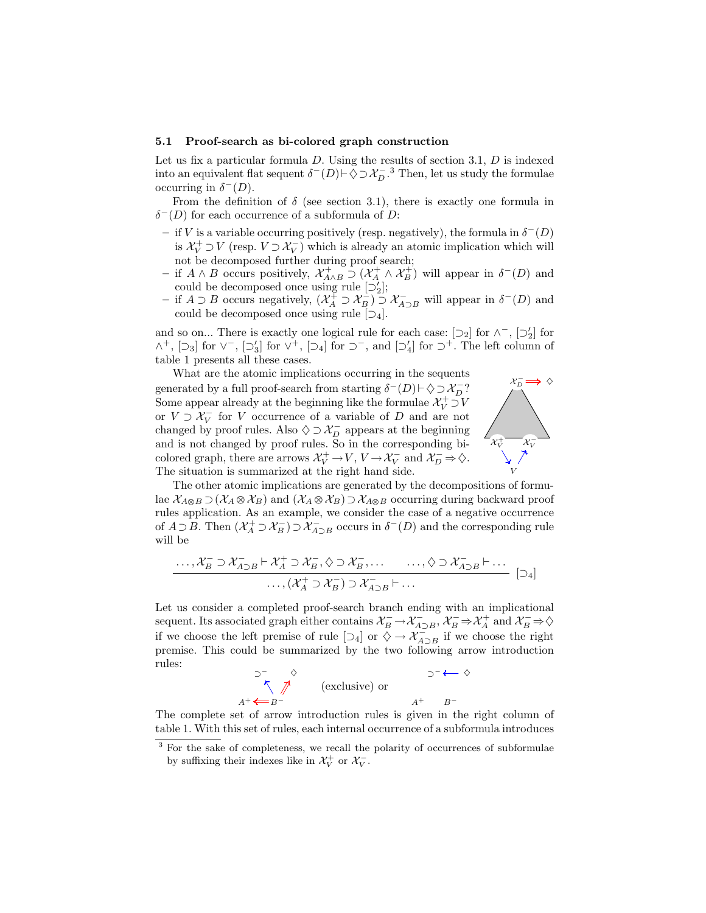#### 5.1 Proof-search as bi-colored graph construction

Let us fix a particular formula  $D$ . Using the results of section 3.1,  $D$  is indexed into an equivalent flat sequent  $\delta^{-}(D) \vdash \Diamond \supset \mathcal{X}_{D}^{-,3}$ . Then, let us study the formulae occurring in  $\delta^{-}(D)$ .

From the definition of  $\delta$  (see section 3.1), there is exactly one formula in  $\delta^{-}(D)$  for each occurrence of a subformula of D:

- − if V is a variable occurring positively (resp. negatively), the formula in  $\delta$ <sup>−</sup>(D) is  $\mathcal{X}_V^+ \supset V$  (resp.  $V \supset \mathcal{X}_V^-$ ) which is already an atomic implication which will not be decomposed further during proof search;
- $-$  if A ∧ B occurs positively,  $\mathcal{X}^+_{A \wedge B}$  ⊃  $(\mathcal{X}^+_{A} \wedge \mathcal{X}^+_{B})$  will appear in  $\delta^{-}(D)$  and could be decomposed once using rule  $[\supseteq_2']$ ;
- $-$  if  $A \supset B$  occurs negatively,  $(\mathcal{X}^{\perp}_A \supset \mathcal{X}^{\perp}_B) \supset \mathcal{X}^-_{A \supset B}$  will appear in δ<sup>−</sup>(D) and could be decomposed once using rule  $[\supset_4]$ .

and so on... There is exactly one logical rule for each case:  $[\supset_2]$  for  $\wedge^-$ ,  $[\supset'_2]$  for  $\wedge^+$ ,  $[\supset_3]$  for  $\vee^-$ ,  $[\supset'_3]$  for  $\vee^+$ ,  $[\supset_4]$  for  $\supset$   $\neg$ , and  $[\supset'_4]$  for  $\supset^+$ . The left column of table 1 presents all these cases.

What are the atomic implications occurring in the sequents generated by a full proof-search from starting  $\delta^{-}(D) \vdash \Diamond \supseteq \mathcal{X}_{D}^{-}$ ? Some appear already at the beginning like the formulae  $\mathcal{X}_{V}^{+} \supset V$ or  $V \supset \mathcal{X}_V^-$  for V occurrence of a variable of D and are not changed by proof rules. Also  $\diamondsuit \supset \mathcal{X}_D^-$  appears at the beginning and is not changed by proof rules. So in the corresponding bicolored graph, there are arrows  $\mathcal{X}_V^+ \to V$ ,  $V \to \mathcal{X}_V^-$  and  $\mathcal{X}_D^- \Rightarrow \diamondsuit$ . The situation is summarized at the right hand side.



The other atomic implications are generated by the decompositions of formulae  $\mathcal{X}_{A\otimes B}\supset (\mathcal{X}_{A}\otimes \mathcal{X}_{B})$  and  $(\mathcal{X}_{A}\otimes \mathcal{X}_{B})\supset \mathcal{X}_{A\otimes B}$  occurring during backward proof rules application. As an example, we consider the case of a negative occurrence of  $A \supset B$ . Then  $(\mathcal{X}_A^+ \supset \mathcal{X}_B^-) \supset \mathcal{X}_{A \supset B}^-$  occurs in  $\delta^-(D)$  and the corresponding rule will be

. . . , X − <sup>B</sup> ⊃ X <sup>−</sup> <sup>A</sup>⊃<sup>B</sup> ` X <sup>+</sup> <sup>A</sup> ⊃ X <sup>−</sup> <sup>B</sup> , ♦ ⊃ X <sup>−</sup> <sup>B</sup> , . . . . . . , ♦ ⊃ X <sup>−</sup> <sup>A</sup>⊃<sup>B</sup> ` . . . . . . ,(X + <sup>A</sup> ⊃ X <sup>−</sup> <sup>B</sup> ) ⊃ X <sup>−</sup> <sup>A</sup>⊃<sup>B</sup> ` . . . [⊃4]

Let us consider a completed proof-search branch ending with an implicational sequent. Its associated graph either contains  $\mathcal{X}_B^- \to \mathcal{X}_{A\supset B}^-$ ,  $\mathcal{X}_B^- \Rightarrow \mathcal{X}_A^+$  and  $\mathcal{X}_B^- \Rightarrow \diamondsuit$ if we choose the left premise of rule  $[\supset_4]$  or  $\diamondsuit \to \check{\mathcal{X}_{A\supset B}}$  if we choose the right premise. This could be summarized by the two following arrow introduction rules:

$$
\begin{array}{ccc}\n\mathbf{D}^- & \diamondsuit & \mathbf{D}^- \leftarrow \diamondsuit \\
\wedge & \nearrow & \text{(exclusive) or} \\
A^+ \leftarrow B^- & & A^+ & B^- \\
\end{array}
$$

The complete set of arrow introduction rules is given in the right column of table 1. With this set of rules, each internal occurrence of a subformula introduces

<sup>&</sup>lt;sup>3</sup> For the sake of completeness, we recall the polarity of occurrences of subformulae by suffixing their indexes like in  $\mathcal{X}_{V}^{+}$  or  $\mathcal{X}_{V}^{-}$ .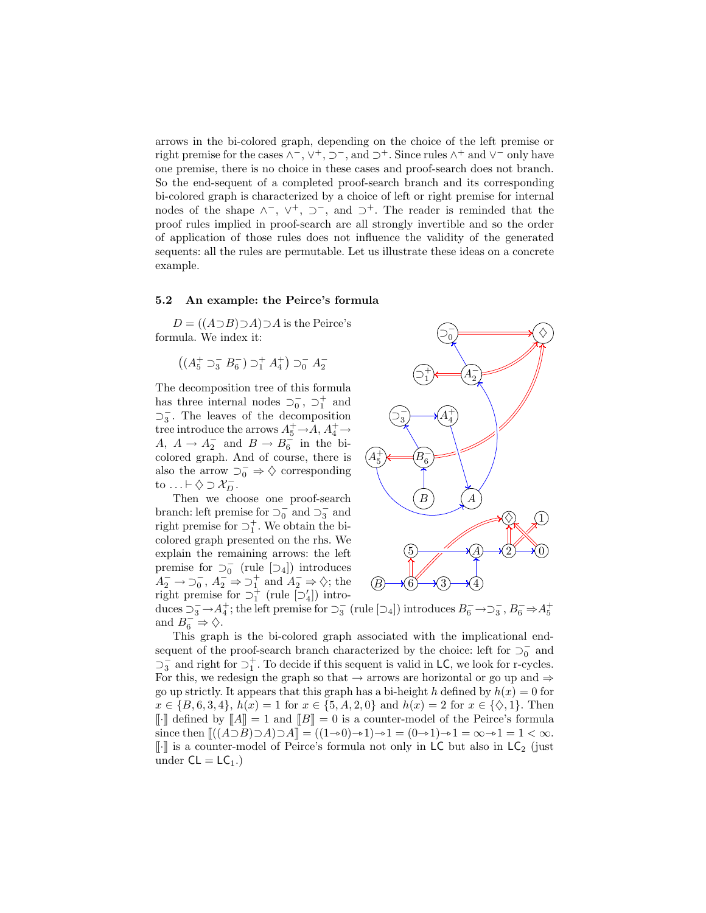arrows in the bi-colored graph, depending on the choice of the left premise or right premise for the cases  $\wedge^-$ ,  $\vee^+$ ,  $\supset^-$ , and  $\supset^+$ . Since rules  $\wedge^+$  and  $\vee^-$  only have one premise, there is no choice in these cases and proof-search does not branch. So the end-sequent of a completed proof-search branch and its corresponding bi-colored graph is characterized by a choice of left or right premise for internal nodes of the shape  $\wedge^-$ ,  $\vee^+$ ,  $\supset^-$ , and  $\supset^+$ . The reader is reminded that the proof rules implied in proof-search are all strongly invertible and so the order of application of those rules does not influence the validity of the generated sequents: all the rules are permutable. Let us illustrate these ideas on a concrete example.

#### 5.2 An example: the Peirce's formula

 $D = ((A \supset B) \supset A) \supset A$  is the Peirce's formula. We index it:

$$
((A_5^+ \supset_3^- B_6^-) \supset_1^+ A_4^+) \supset_0^- A_2^-
$$

The decomposition tree of this formula has three internal nodes  $\supset_0^-$ ,  $\supset_1^+$  and  $\supset_3^-$ . The leaves of the decomposition tree introduce the arrows  $A_5^+$   $\rightarrow$  A,  $A_4^+$   $\rightarrow$ A,  $A \rightarrow A_2^-$  and  $B \rightarrow B_6^-$  in the bicolored graph. And of course, there is also the arrow  $\supset_0^- \Rightarrow \diamondsuit$  corresponding to ...  $\vdash \Diamond \supseteq \mathcal{X}_D^-$ .

Then we choose one proof-search branch: left premise for  $\overline{O}_0^-$  and  $\overline{O}_3^-$  and right premise for  $\supset^+_1$ . We obtain the bicolored graph presented on the rhs. We explain the remaining arrows: the left premise for  $\supset_0^-$  (rule  $[\supset_4]$ ) introduces  $A_2^- \to \overline{0}_0^-, A_2^- \Rightarrow \overline{0}_1^+$  and  $A_2^- \Rightarrow \Diamond;$  the right premise for  $\supseteq_1^+$  (rule  $[\supseteq_4']$ ) intro-



duces  $\supset_3^ \to$  A<sub>4</sub><sup>+</sup>; the left premise for  $\supset_3^-$  (rule  $[\supset_4]$ ) introduces  $B_6^ \to$   $\supset_3^-$ ,  $B_6^ \Rightarrow$  A<sub>5</sub><sup>+</sup> and  $B_6^- \Rightarrow \diamondsuit$ .

This graph is the bi-colored graph associated with the implicational endsequent of the proof-search branch characterized by the choice: left for  $\supset_0^-$  and  $\supset$ <sub>3</sub> and right for  $\supset$ <sup>+</sup>. To decide if this sequent is valid in **LC**, we look for r-cycles. For this, we redesign the graph so that  $\rightarrow$  arrows are horizontal or go up and  $\Rightarrow$ go up strictly. It appears that this graph has a bi-height h defined by  $h(x) = 0$  for  $x \in \{B, 6, 3, 4\}, h(x) = 1$  for  $x \in \{5, A, 2, 0\}$  and  $h(x) = 2$  for  $x \in \{\diamondsuit, 1\}.$  Then  $\llbracket \cdot \rrbracket$  defined by  $\llbracket A \rrbracket = 1$  and  $\llbracket B \rrbracket = 0$  is a counter-model of the Peirce's formula since then  $\left[ \left( (A\supset B)\supset A\right]\supset A\right] = \left( (1\rightarrow 0)\rightarrow 1\right)\rightarrow 1 = (0\rightarrow 1)\rightarrow 1 = \infty \rightarrow 1 = 1 < \infty$ .  $\llbracket \cdot \rrbracket$  is a counter-model of Peirce's formula not only in LC but also in LC<sub>2</sub> (just under  $CL = LC_1.$ )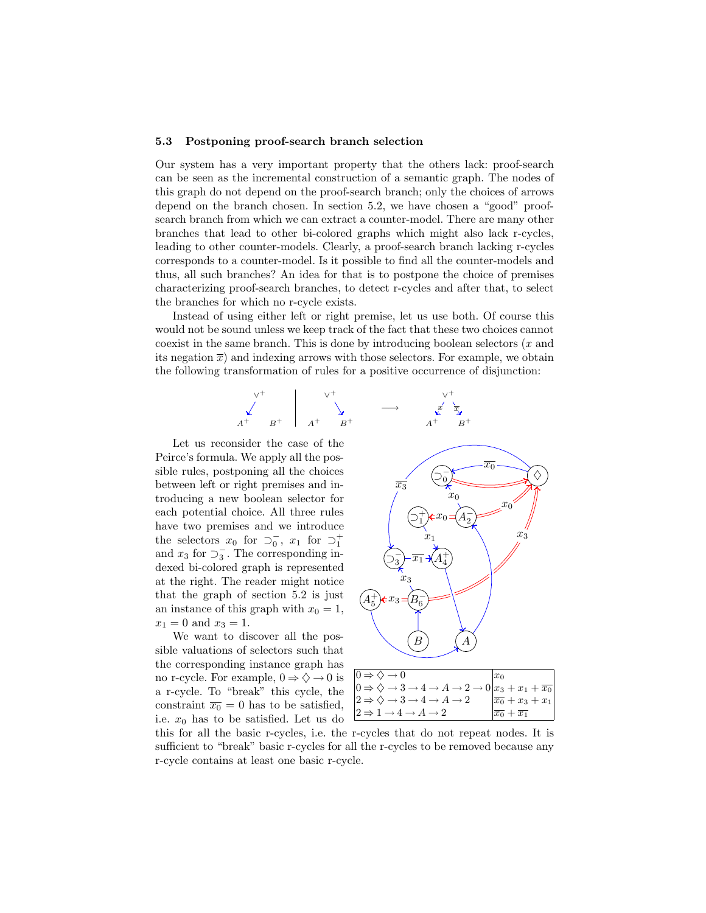### 5.3 Postponing proof-search branch selection

Our system has a very important property that the others lack: proof-search can be seen as the incremental construction of a semantic graph. The nodes of this graph do not depend on the proof-search branch; only the choices of arrows depend on the branch chosen. In section 5.2, we have chosen a "good" proofsearch branch from which we can extract a counter-model. There are many other branches that lead to other bi-colored graphs which might also lack r-cycles, leading to other counter-models. Clearly, a proof-search branch lacking r-cycles corresponds to a counter-model. Is it possible to find all the counter-models and thus, all such branches? An idea for that is to postpone the choice of premises characterizing proof-search branches, to detect r-cycles and after that, to select the branches for which no r-cycle exists.

Instead of using either left or right premise, let us use both. Of course this would not be sound unless we keep track of the fact that these two choices cannot coexist in the same branch. This is done by introducing boolean selectors  $(x \text{ and } y \text{)}$ its negation  $\bar{x}$ ) and indexing arrows with those selectors. For example, we obtain the following transformation of rules for a positive occurrence of disjunction:



Let us reconsider the case of the Peirce's formula. We apply all the possible rules, postponing all the choices between left or right premises and introducing a new boolean selector for each potential choice. All three rules have two premises and we introduce the selectors  $x_0$  for  $\supset_0^-, x_1$  for  $\supset_1^+$ and  $x_3$  for  $\overline{\supseteq}$ . The corresponding indexed bi-colored graph is represented at the right. The reader might notice that the graph of section 5.2 is just an instance of this graph with  $x_0 = 1$ ,  $x_1 = 0$  and  $x_3 = 1$ .

We want to discover all the possible valuations of selectors such that the corresponding instance graph has no r-cycle. For example,  $0 \Rightarrow \Diamond \rightarrow 0$  is a r-cycle. To "break" this cycle, the constraint  $\overline{x_0} = 0$  has to be satisfied, i.e.  $x_0$  has to be satisfied. Let us do



| $ 0 \Rightarrow \diamondsuit \rightarrow 0$                                                                                     | $ x_0$                            |
|---------------------------------------------------------------------------------------------------------------------------------|-----------------------------------|
| $0 \Rightarrow \diamondsuit \rightarrow 3 \rightarrow 4 \rightarrow A \rightarrow 2 \rightarrow 0   x_3 + x_1 + \overline{x_0}$ |                                   |
| $ 2 \Rightarrow \diamondsuit \rightarrow 3 \rightarrow 4 \rightarrow A \rightarrow 2$                                           | $ \overline{x_0} + x_3 + x_1 $    |
| $ 2 \Rightarrow 1 \rightarrow 4 \rightarrow A \rightarrow 2$                                                                    | $ \overline{x_0}+\overline{x_1} $ |
|                                                                                                                                 |                                   |

this for all the basic r-cycles, i.e. the r-cycles that do not repeat nodes. It is sufficient to "break" basic r-cycles for all the r-cycles to be removed because any r-cycle contains at least one basic r-cycle.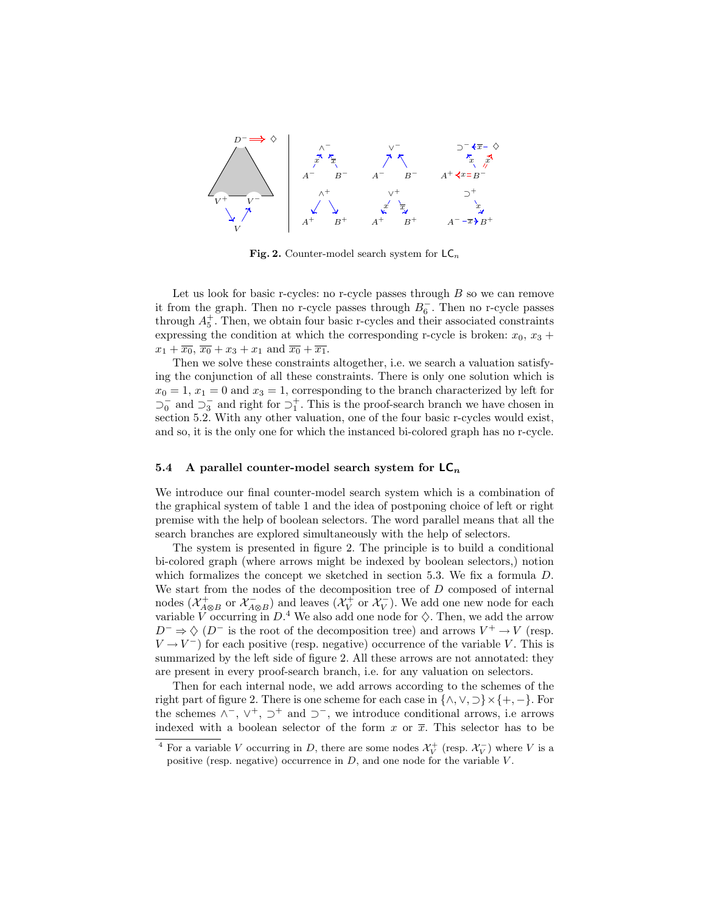

Fig. 2. Counter-model search system for  $LC_n$ 

Let us look for basic r-cycles: no r-cycle passes through  $B$  so we can remove it from the graph. Then no r-cycle passes through  $B_6^-$ . Then no r-cycle passes through  $A_5^+$ . Then, we obtain four basic r-cycles and their associated constraints expressing the condition at which the corresponding r-cycle is broken:  $x_0, x_3 +$  $x_1 + \overline{x_0}, \overline{x_0} + x_3 + x_1$  and  $\overline{x_0} + \overline{x_1}$ .

Then we solve these constraints altogether, i.e. we search a valuation satisfying the conjunction of all these constraints. There is only one solution which is  $x_0 = 1, x_1 = 0$  and  $x_3 = 1$ , corresponding to the branch characterized by left for  $\overline{20}$  and  $\overline{23}$  and right for  $\overline{21}$ . This is the proof-search branch we have chosen in section 5.2. With any other valuation, one of the four basic r-cycles would exist, and so, it is the only one for which the instanced bi-colored graph has no r-cycle.

### 5.4 A parallel counter-model search system for  $LC_n$

We introduce our final counter-model search system which is a combination of the graphical system of table 1 and the idea of postponing choice of left or right premise with the help of boolean selectors. The word parallel means that all the search branches are explored simultaneously with the help of selectors.

The system is presented in figure 2. The principle is to build a conditional bi-colored graph (where arrows might be indexed by boolean selectors,) notion which formalizes the concept we sketched in section 5.3. We fix a formula  $D$ . We start from the nodes of the decomposition tree of  $D$  composed of internal nodes  $(\mathcal{X}_{A\otimes B}^+)$  or  $\mathcal{X}_{A\otimes B}^-$  and leaves  $(\mathcal{X}_{V}^+)$  or  $\mathcal{X}_{V}^-$ ). We add one new node for each variable V occurring in  $D^4$ . We also add one node for  $\diamondsuit$ . Then, we add the arrow  $D^{-} \Rightarrow \Diamond (D^{-})$  is the root of the decomposition tree) and arrows  $V^{+} \rightarrow V$  (resp.  $V \rightarrow V^{-}$ ) for each positive (resp. negative) occurrence of the variable V. This is summarized by the left side of figure 2. All these arrows are not annotated: they are present in every proof-search branch, i.e. for any valuation on selectors.

Then for each internal node, we add arrows according to the schemes of the right part of figure 2. There is one scheme for each case in  $\{\wedge, \vee, \supset\} \times \{+, -\}.$  For the schemes  $\wedge^-$ ,  $\vee^+$ ,  $\supset^+$  and  $\supset^-$ , we introduce conditional arrows, i.e arrows indexed with a boolean selector of the form x or  $\overline{x}$ . This selector has to be

<sup>&</sup>lt;sup>4</sup> For a variable V occurring in D, there are some nodes  $\mathcal{X}_{V}^{+}$  (resp.  $\mathcal{X}_{V}^{-}$ ) where V is a positive (resp. negative) occurrence in  $D$ , and one node for the variable  $V$ .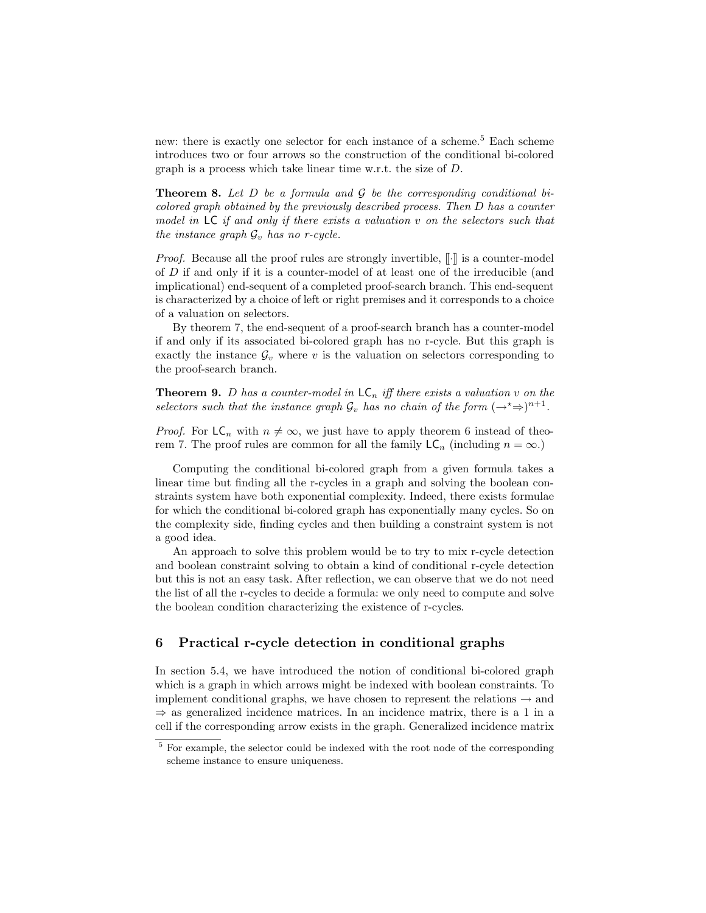new: there is exactly one selector for each instance of a scheme.<sup>5</sup> Each scheme introduces two or four arrows so the construction of the conditional bi-colored graph is a process which take linear time w.r.t. the size of D.

**Theorem 8.** Let D be a formula and  $\mathcal G$  be the corresponding conditional bicolored graph obtained by the previously described process. Then D has a counter model in LC if and only if there exists a valuation v on the selectors such that the instance graph  $\mathcal{G}_v$  has no r-cycle.

*Proof.* Because all the proof rules are strongly invertible,  $\lbrack \cdot \rbrack$  is a counter-model of D if and only if it is a counter-model of at least one of the irreducible (and implicational) end-sequent of a completed proof-search branch. This end-sequent is characterized by a choice of left or right premises and it corresponds to a choice of a valuation on selectors.

By theorem 7, the end-sequent of a proof-search branch has a counter-model if and only if its associated bi-colored graph has no r-cycle. But this graph is exactly the instance  $\mathcal{G}_v$  where v is the valuation on selectors corresponding to the proof-search branch.

**Theorem 9.** D has a counter-model in  $LC_n$  iff there exists a valuation v on the selectors such that the instance graph  $\mathcal{G}_v$  has no chain of the form  $(\rightarrow^* \Rightarrow)^{n+1}$ .

*Proof.* For  $LC_n$  with  $n \neq \infty$ , we just have to apply theorem 6 instead of theorem 7. The proof rules are common for all the family  $\mathsf{LC}_n$  (including  $n = \infty$ .)

Computing the conditional bi-colored graph from a given formula takes a linear time but finding all the r-cycles in a graph and solving the boolean constraints system have both exponential complexity. Indeed, there exists formulae for which the conditional bi-colored graph has exponentially many cycles. So on the complexity side, finding cycles and then building a constraint system is not a good idea.

An approach to solve this problem would be to try to mix r-cycle detection and boolean constraint solving to obtain a kind of conditional r-cycle detection but this is not an easy task. After reflection, we can observe that we do not need the list of all the r-cycles to decide a formula: we only need to compute and solve the boolean condition characterizing the existence of r-cycles.

# 6 Practical r-cycle detection in conditional graphs

In section 5.4, we have introduced the notion of conditional bi-colored graph which is a graph in which arrows might be indexed with boolean constraints. To implement conditional graphs, we have chosen to represent the relations  $\rightarrow$  and  $\Rightarrow$  as generalized incidence matrices. In an incidence matrix, there is a 1 in a cell if the corresponding arrow exists in the graph. Generalized incidence matrix

<sup>&</sup>lt;sup>5</sup> For example, the selector could be indexed with the root node of the corresponding scheme instance to ensure uniqueness.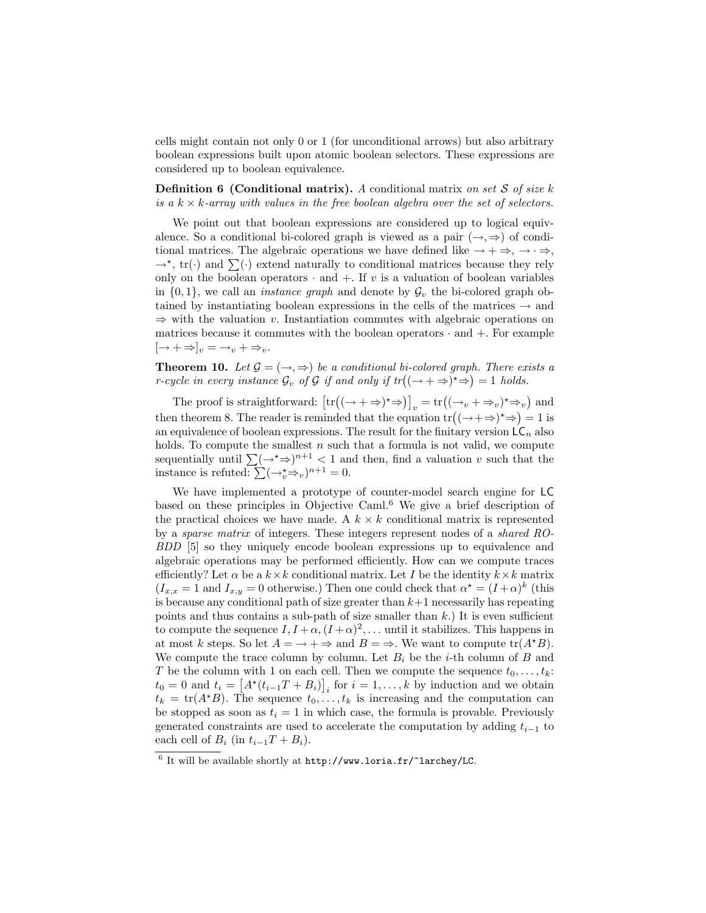cells might contain not only 0 or 1 (for unconditional arrows) but also arbitrary boolean expressions built upon atomic boolean selectors. These expressions are considered up to boolean equivalence.

**Definition 6 (Conditional matrix).** A conditional matrix on set  $S$  of size  $k$ is a  $k \times k$ -array with values in the free boolean algebra over the set of selectors.

We point out that boolean expressions are considered up to logical equivalence. So a conditional bi-colored graph is viewed as a pair  $(\rightarrow, \Rightarrow)$  of conditional matrices. The algebraic operations we have defined like  $\rightarrow + \rightarrow, \rightarrow \rightarrow$ ,  $\rightarrow^*$ , tr(·) and  $\sum(\cdot)$  extend naturally to conditional matrices because they rely only on the boolean operators  $\cdot$  and  $+$ . If v is a valuation of boolean variables in  $\{0,1\}$ , we call an *instance graph* and denote by  $\mathcal{G}_v$  the bi-colored graph obtained by instantiating boolean expressions in the cells of the matrices  $\rightarrow$  and  $\Rightarrow$  with the valuation v. Instantiation commutes with algebraic operations on matrices because it commutes with the boolean operators · and +. For example  $[\rightarrow +\Rightarrow]_v = \rightarrow_v + \Rightarrow_v.$ 

**Theorem 10.** Let  $\mathcal{G} = (\rightarrow, \Rightarrow)$  be a conditional bi-colored graph. There exists a r-cycle in every instance  $\mathcal{G}_v$  of  $\mathcal G$  if and only if  $tr((\to +\Rightarrow)^* \Rightarrow) = 1$  holds.

The proof is straightforward:  $\left[\text{tr}\left((\to +\Rightarrow)^{\star}\Rightarrow\right)\right]_v = \text{tr}\left((\to_v + \Rightarrow_v)^{\star}\Rightarrow_v\right)$  and then theorem 8. The reader is reminded that the equation  $\text{tr}((\rightarrow +\Rightarrow)^{\star} \Rightarrow) = 1$  is an equivalence of boolean expressions. The result for the finitary version  $\mathsf{LC}_n$  also holds. To compute the smallest  $n$  such that a formula is not valid, we compute sequentially until  $\sum (\rightarrow^* \Rightarrow)^{n+1}$  < 1 and then, find a valuation v such that the instance is refuted:  $\sum (\rightarrow_v^* \Rightarrow_v)^{n+1} = 0$ .

We have implemented a prototype of counter-model search engine for LC based on these principles in Objective Caml.<sup>6</sup> We give a brief description of the practical choices we have made. A  $k \times k$  conditional matrix is represented by a sparse matrix of integers. These integers represent nodes of a shared RO-BDD [5] so they uniquely encode boolean expressions up to equivalence and algebraic operations may be performed efficiently. How can we compute traces efficiently? Let  $\alpha$  be a  $k \times k$  conditional matrix. Let I be the identity  $k \times k$  matrix  $(I_{x,x} = 1 \text{ and } I_{x,y} = 0 \text{ otherwise.})$  Then one could check that  $\alpha^* = (I + \alpha)^k$  (this is because any conditional path of size greater than  $k+1$  necessarily has repeating points and thus contains a sub-path of size smaller than  $k$ .) It is even sufficient to compute the sequence  $I, I + \alpha, (I + \alpha)^2, \dots$  until it stabilizes. This happens in at most k steps. So let  $A = \rightarrow + \Rightarrow$  and  $B = \Rightarrow$ . We want to compute  $tr(A * B)$ . We compute the trace column by column. Let  $B_i$  be the *i*-th column of B and T be the column with 1 on each cell. Then we compute the sequence  $t_0, \ldots, t_k$ :  $t_0 = 0$  and  $t_i = [A^*(t_{i-1}T + B_i)]_i$  for  $i = 1, ..., k$  by induction and we obtain  $t_k = \text{tr}(A^{\star}B)$ . The sequence  $t_0, \ldots, t_k$  is increasing and the computation can be stopped as soon as  $t_i = 1$  in which case, the formula is provable. Previously generated constraints are used to accelerate the computation by adding  $t_{i-1}$  to each cell of  $B_i$  (in  $t_{i-1}T + B_i$ ).

 $6$  It will be available shortly at  $http://www.loria.fr/~larchey/LC$ .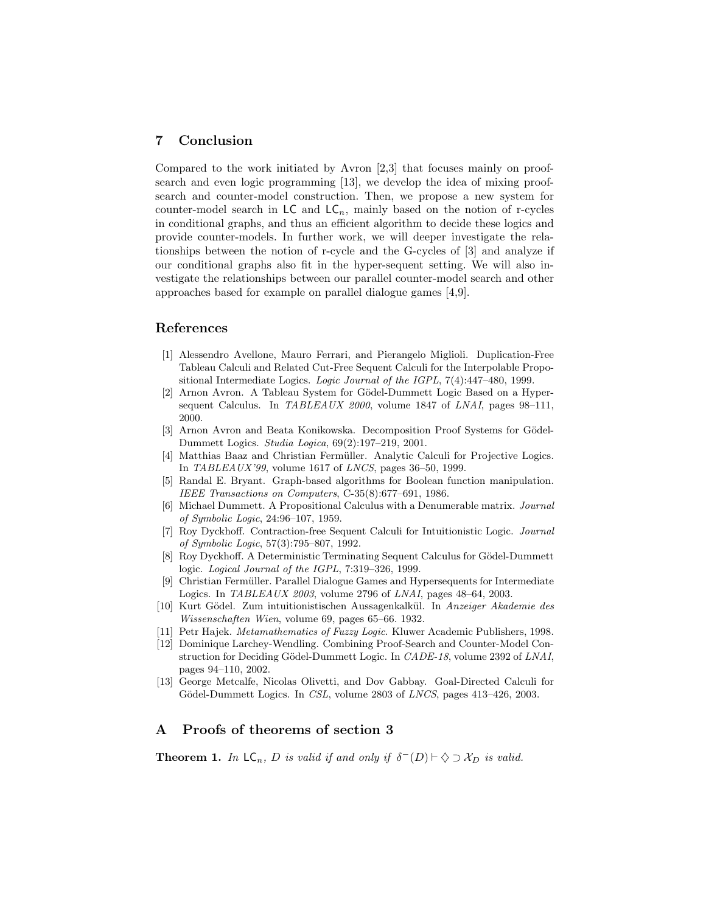### 7 Conclusion

Compared to the work initiated by Avron [2,3] that focuses mainly on proofsearch and even logic programming [13], we develop the idea of mixing proofsearch and counter-model construction. Then, we propose a new system for counter-model search in  $\mathsf{LC}$  and  $\mathsf{LC}_n$ , mainly based on the notion of r-cycles in conditional graphs, and thus an efficient algorithm to decide these logics and provide counter-models. In further work, we will deeper investigate the relationships between the notion of r-cycle and the G-cycles of [3] and analyze if our conditional graphs also fit in the hyper-sequent setting. We will also investigate the relationships between our parallel counter-model search and other approaches based for example on parallel dialogue games [4,9].

### References

- [1] Alessendro Avellone, Mauro Ferrari, and Pierangelo Miglioli. Duplication-Free Tableau Calculi and Related Cut-Free Sequent Calculi for the Interpolable Propositional Intermediate Logics. Logic Journal of the IGPL,  $7(4):447-480$ , 1999.
- [2] Arnon Avron. A Tableau System for Gödel-Dummett Logic Based on a Hypersequent Calculus. In TABLEAUX 2000, volume 1847 of LNAI, pages 98-111, 2000.
- [3] Arnon Avron and Beata Konikowska. Decomposition Proof Systems for Gödel-Dummett Logics. Studia Logica, 69(2):197–219, 2001.
- Matthias Baaz and Christian Fermüller. Analytic Calculi for Projective Logics. In TABLEAUX'99, volume 1617 of LNCS, pages 36–50, 1999.
- [5] Randal E. Bryant. Graph-based algorithms for Boolean function manipulation. IEEE Transactions on Computers, C-35(8):677–691, 1986.
- [6] Michael Dummett. A Propositional Calculus with a Denumerable matrix. Journal of Symbolic Logic, 24:96–107, 1959.
- [7] Roy Dyckhoff. Contraction-free Sequent Calculi for Intuitionistic Logic. Journal of Symbolic Logic, 57(3):795–807, 1992.
- [8] Roy Dyckhoff. A Deterministic Terminating Sequent Calculus for Gödel-Dummett logic. Logical Journal of the IGPL, 7:319–326, 1999.
- [9] Christian Fermüller. Parallel Dialogue Games and Hypersequents for Intermediate Logics. In TABLEAUX 2003, volume 2796 of LNAI, pages 48–64, 2003.
- [10] Kurt Gödel. Zum intuitionistischen Aussagenkalkül. In Anzeiger Akademie des Wissenschaften Wien, volume 69, pages 65–66. 1932.
- [11] Petr Hajek. Metamathematics of Fuzzy Logic. Kluwer Academic Publishers, 1998.
- [12] Dominique Larchey-Wendling. Combining Proof-Search and Counter-Model Construction for Deciding Gödel-Dummett Logic. In CADE-18, volume 2392 of LNAI, pages 94–110, 2002.
- [13] George Metcalfe, Nicolas Olivetti, and Dov Gabbay. Goal-Directed Calculi for Gödel-Dummett Logics. In CSL, volume 2803 of LNCS, pages 413-426, 2003.

# A Proofs of theorems of section 3

**Theorem 1.** In  $\mathsf{LC}_n$ , D is valid if and only if  $\delta^{-}(D) \vdash \Diamond \supset \mathcal{X}_D$  is valid.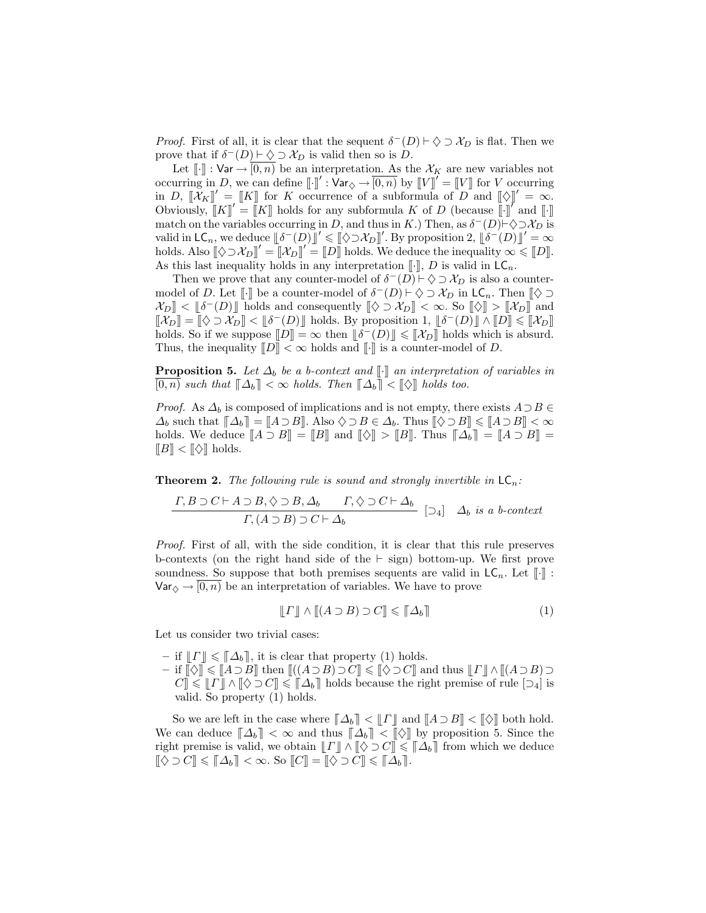*Proof.* First of all, it is clear that the sequent  $\delta^{-}(D) \vdash \Diamond \supset \mathcal{X}_{D}$  is flat. Then we prove that if  $\delta^-(D) \vdash \diamondsuit \supset \mathcal{X}_D$  is valid then so is D.

Let  $[\![\cdot]\!]$ : Var  $\rightarrow$   $[0, n)$  be an interpretation. As the  $\mathcal{X}_K$  are new variables not occurring in D, we can define  $[\![\cdot]\!]' : \hat{\mathsf{Var}}_{\diamondsuit} \to \overline{[0,n)}$  by  $[\![V]\!]' = [\![V]\!]$  for V occurring in D,  $[\mathcal{X}_K]' = [K]$  for K occurrence of a subformula of D and  $[\Diamond]'' = \infty$ . Obviously,  $[[K]]' = [[K]]$  holds for any subformula K of D (because  $[[\cdot]]'$  and  $[[\cdot]]$ match on the variables occurring in D, and thus in K.) Then, as  $\delta^-(D) \vdash \Diamond \supset \mathcal{X}_D$  is valid in  $\mathsf{LC}_n$ , we deduce  $\llbracket \delta^-(D) \rrbracket' \leqslant \llbracket \Diamond \supset \mathcal{X}_D \rrbracket'.$  By proposition 2,  $\llbracket \delta^-(D) \rrbracket' = \infty$ holds. Also  $[\Diamond \supset \mathcal{X}_D]' = [\mathcal{X}_D]' = [D]$  holds. We deduce the inequality  $\infty \leq [D]$ . As this last inequality holds in any interpretation  $[\![\cdot]\!]$ , D is valid in  $\mathsf{LC}_n$ .

Then we prove that any counter-model of  $\delta^-(D) \vdash \Diamond \supset \mathcal{X}_D$  is also a countermodel of D. Let [[.] be a counter-model of  $\delta^-(D) \vdash \Diamond \supset \mathcal{X}_D$  in  $\mathsf{LC}_n$ . Then  $\llbracket \Diamond \supset$  $\mathcal{X}_D$  <  $\llbracket \delta^-(D) \rrbracket$  holds and consequently  $\llbracket \diamondsuit \supset \mathcal{X}_D \rrbracket < \infty$ . So  $\llbracket \diamondsuit \rrbracket > \llbracket \mathcal{X}_D \rrbracket$  and  $[\![\chi_D]\!] = [\![\diamondsuit \supset \chi_D]\!] < [\![\delta^-(D)]\!]$  holds. By proposition 1,  $[\![\delta^-(D)]\!] \wedge [\![D]\!] \leq [\![\chi_D]\!]$ holds. So if we suppose  $[\![D]\!] = \infty$  then  $[\![\delta^-(D)]\!] \leq [\![\mathcal{X}_D]\!]$  holds which is absurd. Thus, the inequality  $[[D]] < \infty$  holds and  $[[\cdot]]$  is a counter-model of D.

**Proposition 5.** Let  $\Delta_b$  be a b-context and  $\llbracket \cdot \rrbracket$  an interpretation of variables in  $[0, n)$  such that  $\llbracket \Delta_b \rrbracket < \infty$  holds. Then  $\llbracket \Delta_b \rrbracket < \llbracket \diamond \rrbracket$  holds too.

*Proof.* As  $\Delta_b$  is composed of implications and is not empty, there exists  $A \supset B \in$  $\Delta_b$  such that  $\llbracket \Delta_b \rrbracket = \llbracket A \supseteq B \rrbracket$ . Also  $\diamondsuit \supseteq B \in \Delta_b$ . Thus  $\llbracket \diamondsuit \supseteq B \rrbracket \leq \llbracket A \supseteq B \rrbracket < \infty$ holds. We deduce  $[[A \supset B]] = [[B]]$  and  $[[\Diamond]] > [[B]]$ . Thus  $[[\Delta_b]] = [[A \supset B]] =$  $[[B] < [[\diamondsuit]]$  holds.

**Theorem 2.** The following rule is sound and strongly invertible in  $LC_n$ .

$$
\frac{\Gamma, B \supset C \vdash A \supset B, \Diamond \supset B, \Delta_b \qquad \Gamma, \Diamond \supset C \vdash \Delta_b}{\Gamma, (A \supset B) \supset C \vdash \Delta_b} [\supset_4] \Delta_b \text{ is a } b\text{-context}
$$

Proof. First of all, with the side condition, it is clear that this rule preserves b-contexts (on the right hand side of the  $\vdash$  sign) bottom-up. We first prove soundness. So suppose that both premises sequents are valid in  $LC_n$ . Let  $\llbracket \cdot \rrbracket$ :  $\text{Var}_{\diamondsuit} \rightarrow \overline{[0,n]}$  be an interpretation of variables. We have to prove

$$
\llbracket \Gamma \rrbracket \land \llbracket (A \supset B) \supset C \rrbracket \leqslant \llbracket \Delta_b \rrbracket \tag{1}
$$

Let us consider two trivial cases:

- if  $\Vert \Gamma \Vert \leqslant \Vert \Delta_b \Vert$ , it is clear that property (1) holds.
- if  $\llbracket \diamond \rrbracket \leq \llbracket A \supseteq B \rrbracket$  then  $\llbracket ((A \supseteq B) \supseteq C \rrbracket \leq \llbracket \diamond \supseteq C \rrbracket$  and thus  $\llbracket \Gamma \rrbracket \wedge \llbracket (A \supseteq B) \supseteq C$  $C \leq \llbracket \Gamma \rrbracket \wedge \llbracket \diamondsuit \supset C \llbracket \leq \llbracket \Delta_b \rrbracket$  holds because the right premise of rule  $[\Box_4]$  is valid. So property (1) holds.

So we are left in the case where  $\llbracket \Delta_b \rrbracket < \llbracket \Gamma \rrbracket$  and  $\llbracket A \supseteq B \rrbracket < \llbracket \diamondsuit \rrbracket$  both hold. We can deduce  $\llbracket \Delta_b \rrbracket < \infty$  and thus  $\llbracket \Delta_b \rrbracket < \llbracket \diamond \rrbracket$  by proposition 5. Since the right premise is valid, we obtain  $\llbracket \Gamma \rrbracket \wedge \llbracket \diamondsuit \supset C \rrbracket \leq \llbracket \Delta_b \rrbracket$  from which we deduce  $[\![\diamondsuit \supset C]\!] \leq \[\![\Delta_b]\!] < \infty.$  So  $[\![C]\!] = [\![\diamondsuit \supset C]\!] \leq \[\![\Delta_b]\!]$ .